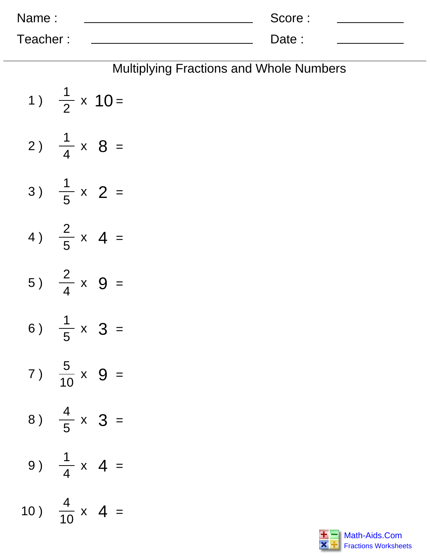| Name:    | Score: |  |
|----------|--------|--|
| Teacher: | Date:  |  |

|                              | <b>Multiplying Fractions and Whole Numbers</b> |
|------------------------------|------------------------------------------------|
| 1) $\frac{1}{2} \times 10 =$ |                                                |
| 2) $\frac{1}{4} \times 8 =$  |                                                |
| 3) $\frac{1}{5}$ x 2 =       |                                                |
| 4) $\frac{2}{5}$ x 4 =       |                                                |
| 5) $\frac{2}{4} \times 9 =$  |                                                |
| 6) $\frac{1}{5} \times 3 =$  |                                                |
| 7) $\frac{5}{10}$ x 9 =      |                                                |
| 8) $\frac{4}{5} \times 3 =$  |                                                |
| 9) $\frac{1}{4} \times 4 =$  |                                                |
| 10) $\frac{4}{10}$ x 4 =     |                                                |